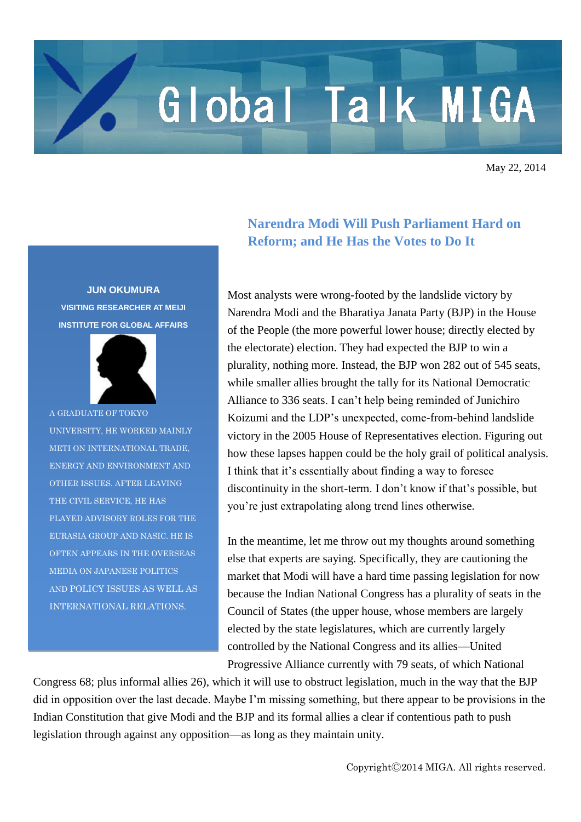## Global Talk MIGA

May 22, 2014

## **JUN OKUMURA VISITING RESEARCHER AT MEIJI INSTITUTE FOR GLOBAL AFFAIRS**



A GRADUATE OF TOKYO UNIVERSITY, HE WORKED MAINLY METI ON INTERNATIONAL TRADE, ENERGY AND ENVIRONMENT AND OTHER ISSUES. AFTER LEAVING THE CIVIL SERVICE, HE HAS PLAYED ADVISORY ROLES FOR THE EURASIA GROUP AND NASIC. HE IS OFTEN APPEARS IN THE OVERSEAS MEDIA ON JAPANESE POLITICS AND POLICY ISSUES AS WELL AS INTERNATIONAL RELATIONS.

## **Narendra Modi Will Push Parliament Hard on Reform; and He Has the Votes to Do It**

Most analysts were wrong-footed by the landslide victory by Narendra Modi and the Bharatiya Janata Party (BJP) in the House of the People (the more powerful lower house; directly elected by the electorate) election. They had expected the BJP to win a plurality, nothing more. Instead, the BJP won 282 out of 545 seats, while smaller allies brought the tally for its National Democratic Alliance to 336 seats. I can't help being reminded of Junichiro Koizumi and the LDP's unexpected, come-from-behind landslide victory in the 2005 House of Representatives election. Figuring out how these lapses happen could be the holy grail of political analysis. I think that it's essentially about finding a way to foresee discontinuity in the short-term. I don't know if that's possible, but you're just extrapolating along trend lines otherwise.

In the meantime, let me throw out my thoughts around something else that experts are saying. Specifically, they are cautioning the market that Modi will have a hard time passing legislation for now because the Indian National Congress has a plurality of seats in the Council of States (the upper house, whose members are largely elected by the state legislatures, which are currently largely controlled by the National Congress and its allies—United

Progressive Alliance currently with 79 seats, of which National

Congress 68; plus informal allies 26), which it will use to obstruct legislation, much in the way that the BJP did in opposition over the last decade. Maybe I'm missing something, but there appear to be provisions in the Indian Constitution that give Modi and the BJP and its formal allies a clear if contentious path to push legislation through against any opposition—as long as they maintain unity.